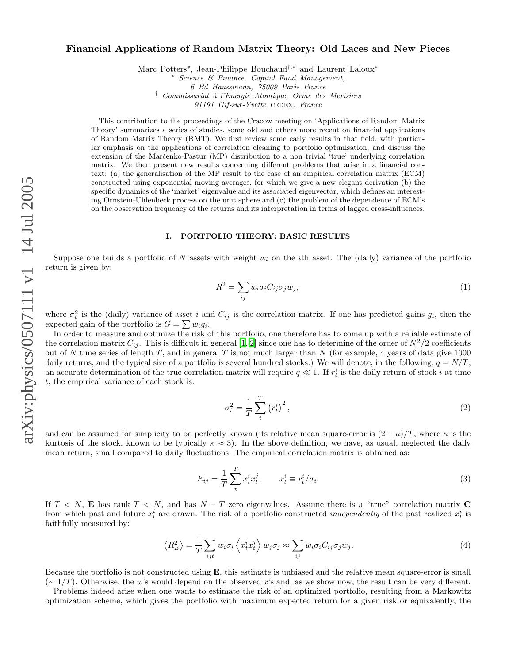# Financial Applications of Random Matrix Theory: Old Laces and New Pieces

Marc Potters<sup>\*</sup>, Jean-Philippe Bouchaud<sup>†,\*</sup> and Laurent Laloux<sup>\*</sup>

<sup>∗</sup> Science & Finance, Capital Fund Management,

6 Bd Haussmann, 75009 Paris France † Commissariat `a l'Energie Atomique, Orme des Merisiers 91191 Gif-sur-Yvette CEDEX, France

This contribution to the proceedings of the Cracow meeting on 'Applications of Random Matrix Theory' summarizes a series of studies, some old and others more recent on financial applications of Random Matrix Theory (RMT). We first review some early results in that field, with particular emphasis on the applications of correlation cleaning to portfolio optimisation, and discuss the extension of the Marc̆enko-Pastur (MP) distribution to a non trivial 'true' underlying correlation matrix. We then present new results concerning different problems that arise in a financial context: (a) the generalisation of the MP result to the case of an empirical correlation matrix (ECM) constructed using exponential moving averages, for which we give a new elegant derivation (b) the specific dynamics of the 'market' eigenvalue and its associated eigenvector, which defines an interesting Ornstein-Uhlenbeck process on the unit sphere and (c) the problem of the dependence of ECM's on the observation frequency of the returns and its interpretation in terms of lagged cross-influences.

#### I. PORTFOLIO THEORY: BASIC RESULTS

Suppose one builds a portfolio of N assets with weight  $w_i$  on the *i*th asset. The (daily) variance of the portfolio return is given by:

$$
R^2 = \sum_{ij} w_i \sigma_i C_{ij} \sigma_j w_j, \qquad (1)
$$

where  $\sigma_i^2$  is the (daily) variance of asset i and  $C_{ij}$  is the correlation matrix. If one has predicted gains  $g_i$ , then the expected gain of the portfolio is  $G = \sum w_i g_i$ .

In order to measure and optimize the risk of this portfolio, one therefore has to come up with a reliable estimate of the correlation matrix  $C_{ij}$ . This is difficult in general [\[1,](#page-10-0) [2](#page-10-1)] since one has to determine of the order of  $N^2/2$  coefficients out of N time series of length T, and in general T is not much larger than N (for example, 4 years of data give 1000 daily returns, and the typical size of a portfolio is several hundred stocks.) We will denote, in the following,  $q = N/T$ ; an accurate determination of the true correlation matrix will require  $q \ll 1$ . If  $r_t^i$  is the daily return of stock i at time t, the empirical variance of each stock is:

$$
\sigma_i^2 = \frac{1}{T} \sum_t^T \left( r_t^i \right)^2,\tag{2}
$$

and can be assumed for simplicity to be perfectly known (its relative mean square-error is  $(2 + \kappa)/T$ , where  $\kappa$  is the kurtosis of the stock, known to be typically  $\kappa \approx 3$ ). In the above definition, we have, as usual, neglected the daily mean return, small compared to daily fluctuations. The empirical correlation matrix is obtained as:

$$
E_{ij} = \frac{1}{T} \sum_{t}^{T} x_t^i x_t^j; \qquad x_t^i \equiv r_t^i / \sigma_i. \tag{3}
$$

If  $T < N$ , E has rank  $T < N$ , and has  $N - T$  zero eigenvalues. Assume there is a "true" correlation matrix C from which past and future  $x_t^i$  are drawn. The risk of a portfolio constructed *independently* of the past realized  $x_t^i$  is faithfully measured by:

$$
\langle R_E^2 \rangle = \frac{1}{T} \sum_{ijt} w_i \sigma_i \langle x_t^i x_t^j \rangle w_j \sigma_j \approx \sum_{ij} w_i \sigma_i C_{ij} \sigma_j w_j. \tag{4}
$$

Because the portfolio is not constructed using  $E$ , this estimate is unbiased and the relative mean square-error is small  $({\sim}1/T)$ . Otherwise, the w's would depend on the observed x's and, as we show now, the result can be very different.

Problems indeed arise when one wants to estimate the risk of an optimized portfolio, resulting from a Markowitz optimization scheme, which gives the portfolio with maximum expected return for a given risk or equivalently, the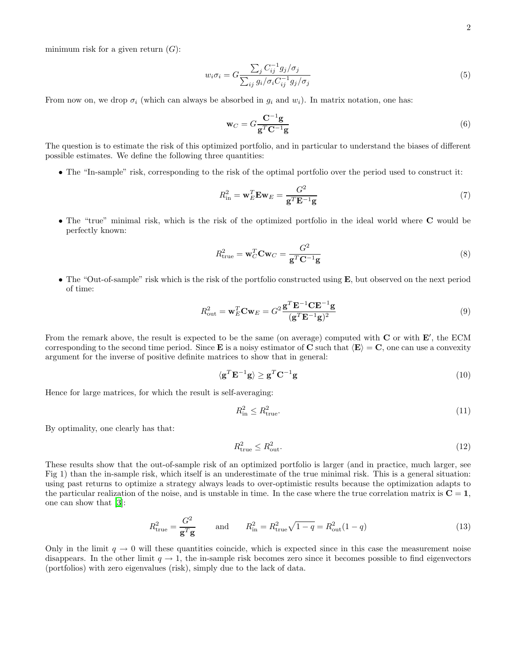minimum risk for a given return  $(G)$ :

$$
w_i \sigma_i = G \frac{\sum_j C_{ij}^{-1} g_j / \sigma_j}{\sum_{ij} g_i / \sigma_i C_{ij}^{-1} g_j / \sigma_j}
$$
\n
$$
\tag{5}
$$

From now on, we drop  $\sigma_i$  (which can always be absorbed in  $g_i$  and  $w_i$ ). In matrix notation, one has:

$$
\mathbf{w}_C = G \frac{\mathbf{C}^{-1} \mathbf{g}}{\mathbf{g}^T \mathbf{C}^{-1} \mathbf{g}}
$$
 (6)

The question is to estimate the risk of this optimized portfolio, and in particular to understand the biases of different possible estimates. We define the following three quantities:

• The "In-sample" risk, corresponding to the risk of the optimal portfolio over the period used to construct it:

$$
R_{\rm in}^2 = \mathbf{w}_E^T \mathbf{E} \mathbf{w}_E = \frac{G^2}{\mathbf{g}^T \mathbf{E}^{-1} \mathbf{g}}\tag{7}
$$

• The "true" minimal risk, which is the risk of the optimized portfolio in the ideal world where C would be perfectly known:

$$
R_{\text{true}}^2 = \mathbf{w}_C^T \mathbf{C} \mathbf{w}_C = \frac{G^2}{\mathbf{g}^T \mathbf{C}^{-1} \mathbf{g}}
$$
(8)

• The "Out-of-sample" risk which is the risk of the portfolio constructed using **E**, but observed on the next period of time:

$$
R_{\text{out}}^2 = \mathbf{w}_E^T \mathbf{C} \mathbf{w}_E = G^2 \frac{\mathbf{g}^T \mathbf{E}^{-1} \mathbf{C} \mathbf{E}^{-1} \mathbf{g}}{(\mathbf{g}^T \mathbf{E}^{-1} \mathbf{g})^2}
$$
(9)

From the remark above, the result is expected to be the same (on average) computed with  $C$  or with  $E'$ , the ECM corresponding to the second time period. Since **E** is a noisy estimator of **C** such that  $\langle \mathbf{E} \rangle = \mathbf{C}$ , one can use a convexity argument for the inverse of positive definite matrices to show that in general:

$$
\langle \mathbf{g}^T \mathbf{E}^{-1} \mathbf{g} \rangle \ge \mathbf{g}^T \mathbf{C}^{-1} \mathbf{g} \tag{10}
$$

Hence for large matrices, for which the result is self-averaging:

$$
R_{\rm in}^2 \le R_{\rm true}^2. \tag{11}
$$

By optimality, one clearly has that:

$$
R_{\text{true}}^2 \le R_{\text{out}}^2. \tag{12}
$$

These results show that the out-of-sample risk of an optimized portfolio is larger (and in practice, much larger, see Fig 1) than the in-sample risk, which itself is an underestimate of the true minimal risk. This is a general situation: using past returns to optimize a strategy always leads to over-optimistic results because the optimization adapts to the particular realization of the noise, and is unstable in time. In the case where the true correlation matrix is  $C = 1$ , one can show that [\[3\]](#page-10-2):

$$
R_{\text{true}}^2 = \frac{G^2}{\mathbf{g}^T \mathbf{g}} \qquad \text{and} \qquad R_{\text{in}}^2 = R_{\text{true}}^2 \sqrt{1 - q} = R_{\text{out}}^2 (1 - q) \tag{13}
$$

Only in the limit  $q \to 0$  will these quantities coincide, which is expected since in this case the measurement noise disappears. In the other limit  $q \to 1$ , the in-sample risk becomes zero since it becomes possible to find eigenvectors (portfolios) with zero eigenvalues (risk), simply due to the lack of data.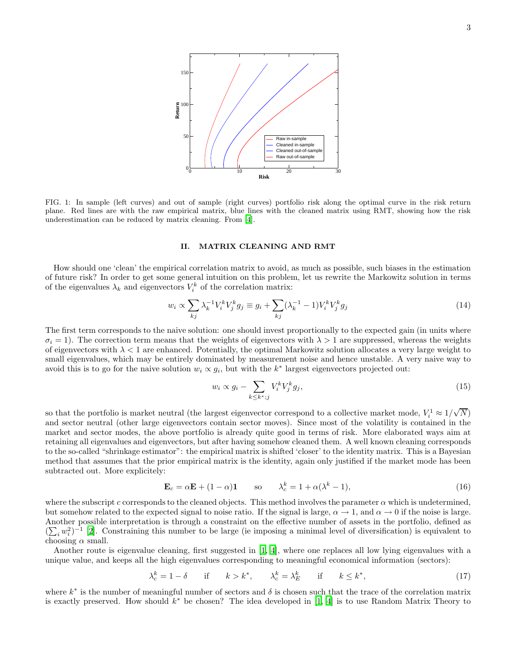

FIG. 1: In sample (left curves) and out of sample (right curves) portfolio risk along the optimal curve in the risk return plane. Red lines are with the raw empirical matrix, blue lines with the cleaned matrix using RMT, showing how the risk underestimation can be reduced by matrix cleaning. From [\[4](#page-10-3)].

## II. MATRIX CLEANING AND RMT

How should one 'clean' the empirical correlation matrix to avoid, as much as possible, such biases in the estimation of future risk? In order to get some general intuition on this problem, let us rewrite the Markowitz solution in terms of the eigenvalues  $\lambda_k$  and eigenvectors  $V_i^k$  of the correlation matrix:

$$
w_i \propto \sum_{kj} \lambda_k^{-1} V_i^k V_j^k g_j \equiv g_i + \sum_{kj} (\lambda_k^{-1} - 1) V_i^k V_j^k g_j \tag{14}
$$

The first term corresponds to the naive solution: one should invest proportionally to the expected gain (in units where  $\sigma_i = 1$ ). The correction term means that the weights of eigenvectors with  $\lambda > 1$  are suppressed, whereas the weights of eigenvectors with  $\lambda < 1$  are enhanced. Potentially, the optimal Markowitz solution allocates a very large weight to small eigenvalues, which may be entirely dominated by measurement noise and hence unstable. A very naive way to avoid this is to go for the naive solution  $w_i \propto g_i$ , but with the  $k^*$  largest eigenvectors projected out:

$$
w_i \propto g_i - \sum_{k \le k^*, j} V_i^k V_j^k g_j,\tag{15}
$$

so that the portfolio is market neutral (the largest eigenvector correspond to a collective market mode,  $V_i^1 \approx 1/\sqrt{N}$ ) and sector neutral (other large eigenvectors contain sector moves). Since most of the volatility is contained in the market and sector modes, the above portfolio is already quite good in terms of risk. More elaborated ways aim at retaining all eigenvalues and eigenvectors, but after having somehow cleaned them. A well known cleaning corresponds to the so-called "shrinkage estimator": the empirical matrix is shifted 'closer' to the identity matrix. This is a Bayesian method that assumes that the prior empirical matrix is the identity, again only justified if the market mode has been subtracted out. More explicitely:

$$
\mathbf{E}_c = \alpha \mathbf{E} + (1 - \alpha)\mathbf{1} \qquad \text{so} \qquad \lambda_c^k = 1 + \alpha(\lambda^k - 1), \tag{16}
$$

where the subscript c corresponds to the cleaned objects. This method involves the parameter  $\alpha$  which is undetermined, but somehow related to the expected signal to noise ratio. If the signal is large,  $\alpha \to 1$ , and  $\alpha \to 0$  if the noise is large. Another possible interpretation is through a constraint on the effective number of assets in the portfolio, defined as  $(\sum_i w_i^2)^{-1}$  [\[2](#page-10-1)]. Constraining this number to be large (ie imposing a minimal level of diversification) is equivalent to choosing  $\alpha$  small.

Another route is eigenvalue cleaning, first suggested in [\[1,](#page-10-0) [4\]](#page-10-3), where one replaces all low lying eigenvalues with a unique value, and keeps all the high eigenvalues corresponding to meaningful economical information (sectors):

$$
\lambda_c^k = 1 - \delta \qquad \text{if} \qquad k > k^*, \qquad \lambda_c^k = \lambda_E^k \qquad \text{if} \qquad k \le k^*, \tag{17}
$$

where  $k^*$  is the number of meaningful number of sectors and  $\delta$  is chosen such that the trace of the correlation matrix is exactly preserved. How should  $k^*$  be chosen? The idea developed in [\[1](#page-10-0), [4](#page-10-3)] is to use Random Matrix Theory to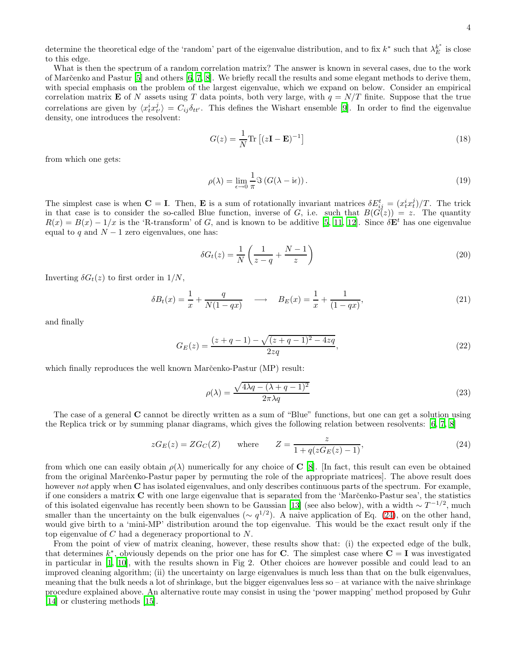determine the theoretical edge of the 'random' part of the eigenvalue distribution, and to fix  $k^*$  such that  $\lambda_E^{k^*}$  is close to this edge.

What is then the spectrum of a random correlation matrix? The answer is known in several cases, due to the work of Marčenko and Pastur [\[5\]](#page-10-4) and others  $[6, 7, 8]$  $[6, 7, 8]$  $[6, 7, 8]$ . We briefly recall the results and some elegant methods to derive them, with special emphasis on the problem of the largest eigenvalue, which we expand on below. Consider an empirical correlation matrix **E** of N assets using T data points, both very large, with  $q = N/T$  finite. Suppose that the true correlations are given by  $\langle x_i^i x_{t'}^j \rangle = C_{ij} \delta_{tt'}$ . This defines the Wishart ensemble [\[9](#page-10-8)]. In order to find the eigenvalue density, one introduces the resolvent:

$$
G(z) = \frac{1}{N} \text{Tr} \left[ (z\mathbf{I} - \mathbf{E})^{-1} \right]
$$
 (18)

from which one gets:

$$
\rho(\lambda) = \lim_{\epsilon \to 0} \frac{1}{\pi} \Im \left( G(\lambda - i\epsilon) \right). \tag{19}
$$

The simplest case is when  $\mathbf{C} = \mathbf{I}$ . Then,  $\mathbf{E}$  is a sum of rotationally invariant matrices  $\delta E_{ij}^t = (x_i^i x_i^j)/T$ . The trick in that case is to consider the so-called Blue function, inverse of G, i.e. such that  $B(\vec{G}(z)) = z$ . The quantity  $R(x) = B(x) - 1/x$  is the 'R-transform' of G, and is known to be additive [\[5](#page-10-4), [11,](#page-10-9) [12\]](#page-10-10). Since  $\delta E^t$  has one eigenvalue equal to q and  $N-1$  zero eigenvalues, one has:

$$
\delta G_t(z) = \frac{1}{N} \left( \frac{1}{z - q} + \frac{N - 1}{z} \right) \tag{20}
$$

Inverting  $\delta G_t(z)$  to first order in  $1/N$ ,

$$
\delta B_t(x) = \frac{1}{x} + \frac{q}{N(1-qx)} \quad \longrightarrow \quad B_E(x) = \frac{1}{x} + \frac{1}{(1-qx)},
$$
\n(21)

and finally

$$
G_E(z) = \frac{(z+q-1) - \sqrt{(z+q-1)^2 - 4zq}}{2zq},\tag{22}
$$

which finally reproduces the well known Marc̆enko-Pastur (MP) result:

$$
\rho(\lambda) = \frac{\sqrt{4\lambda q - (\lambda + q - 1)^2}}{2\pi\lambda q} \tag{23}
$$

<span id="page-3-0"></span>The case of a general C cannot be directly written as a sum of "Blue" functions, but one can get a solution using the Replica trick or by summing planar diagrams, which gives the following relation between resolvents: [\[6,](#page-10-5) [7,](#page-10-6) [8\]](#page-10-7)

$$
zG_E(z) = ZG_C(Z) \qquad \text{where} \qquad Z = \frac{z}{1 + q(zG_E(z) - 1)},\tag{24}
$$

from which one can easily obtain  $\rho(\lambda)$  numerically for any choice of C [\[8](#page-10-7)]. [In fact, this result can even be obtained from the original Marc̆enko-Pastur paper by permuting the role of the appropriate matrices. The above result does however not apply when C has isolated eigenvalues, and only describes continuous parts of the spectrum. For example, if one considers a matrix  $C$  with one large eigenvalue that is separated from the 'Marčenko-Pastur sea', the statistics of this isolated eigenvalue has recently been shown to be Gaussian [\[13\]](#page-10-11) (see also below), with a width  $\sim T^{-1/2}$ , much smaller than the uncertainty on the bulk eigenvalues ( $\sim q^{1/2}$ ). A naive application of Eq. [\(24\)](#page-3-0), on the other hand, would give birth to a 'mini-MP' distribution around the top eigenvalue. This would be the exact result only if the top eigenvalue of C had a degeneracy proportional to N.

From the point of view of matrix cleaning, however, these results show that: (i) the expected edge of the bulk, that determines  $k^*$ , obviously depends on the prior one has for C. The simplest case where  $C = I$  was investigated in particular in [\[1](#page-10-0), [10\]](#page-10-12), with the results shown in Fig 2. Other choices are however possible and could lead to an improved cleaning algorithm; (ii) the uncertainty on large eigenvalues is much less than that on the bulk eigenvalues, meaning that the bulk needs a lot of shrinkage, but the bigger eigenvalues less so  $-$  at variance with the naive shrinkage procedure explained above. An alternative route may consist in using the 'power mapping' method proposed by Guhr [\[14\]](#page-10-13) or clustering methods [\[15](#page-10-14)].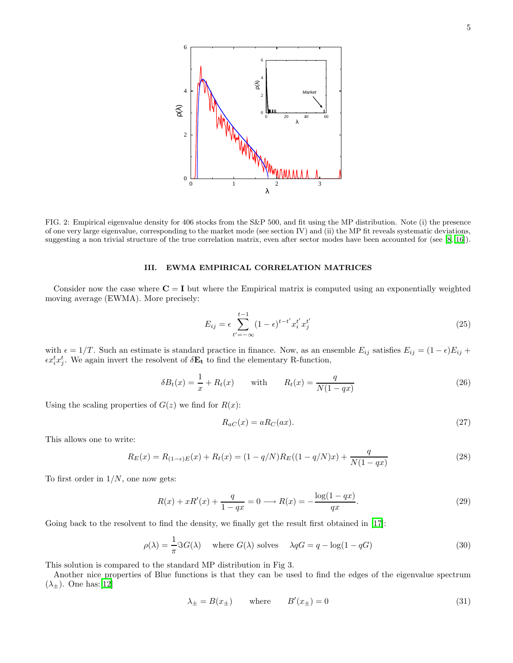

FIG. 2: Empirical eigenvalue density for 406 stocks from the S&P 500, and fit using the MP distribution. Note (i) the presence of one very large eigenvalue, corresponding to the market mode (see section IV) and (ii) the MP fit reveals systematic deviations, suggesting a non trivial structure of the true correlation matrix, even after sector modes have been accounted for (see [\[8,](#page-10-7) [16](#page-10-15)]).

## III. EWMA EMPIRICAL CORRELATION MATRICES

Consider now the case where  $C = I$  but where the Empirical matrix is computed using an exponentially weighted moving average (EWMA). More precisely:

$$
E_{ij} = \epsilon \sum_{t' = -\infty}^{t-1} (1 - \epsilon)^{t-t'} x_i^{t'} x_j^{t'} \tag{25}
$$

with  $\epsilon = 1/T$ . Such an estimate is standard practice in finance. Now, as an ensemble  $E_{ij}$  satisfies  $E_{ij} = (1 - \epsilon)E_{ij} +$  $\epsilon x_i^t x_j^t$ . We again invert the resolvent of  $\delta \mathbf{E_t}$  to find the elementary R-function,

$$
\delta B_t(x) = \frac{1}{x} + R_t(x) \qquad \text{with} \qquad R_t(x) = \frac{q}{N(1-qx)} \tag{26}
$$

Using the scaling properties of  $G(z)$  we find for  $R(x)$ :

$$
R_{aC}(x) = aR_C(ax). \tag{27}
$$

This allows one to write:

$$
R_E(x) = R_{(1-\epsilon)E}(x) + R_t(x) = (1 - q/N)R_E((1 - q/N)x) + \frac{q}{N(1 - qx)}
$$
\n(28)

To first order in  $1/N$ , one now gets:

$$
R(x) + xR'(x) + \frac{q}{1-qx} = 0 \longrightarrow R(x) = -\frac{\log(1-qx)}{qx}.
$$
\n
$$
(29)
$$

Going back to the resolvent to find the density, we finally get the result first obtained in [\[17\]](#page-10-16):

$$
\rho(\lambda) = \frac{1}{\pi} \Im G(\lambda) \quad \text{where } G(\lambda) \text{ solves } \quad \lambda qG = q - \log(1 - qG) \tag{30}
$$

This solution is compared to the standard MP distribution in Fig 3.

Another nice properties of Blue functions is that they can be used to find the edges of the eigenvalue spectrum  $(\lambda_{\pm})$ . One has:[\[12\]](#page-10-10)

$$
\lambda_{\pm} = B(x_{\pm}) \qquad \text{where} \qquad B'(x_{\pm}) = 0 \tag{31}
$$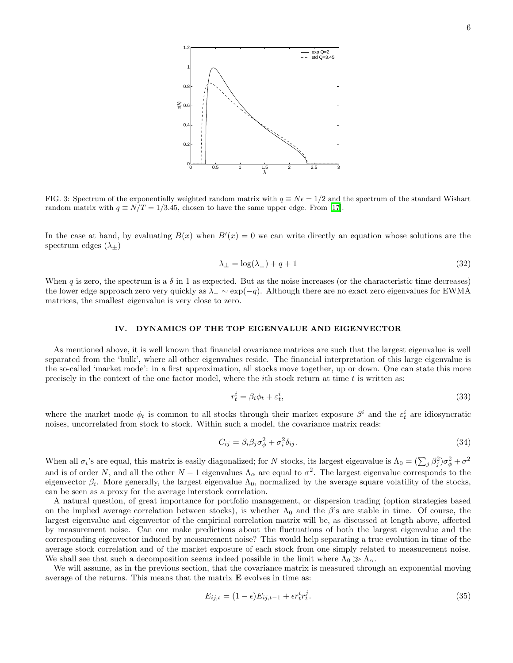

FIG. 3: Spectrum of the exponentially weighted random matrix with  $q \equiv N\epsilon = 1/2$  and the spectrum of the standard Wishart random matrix with  $q \equiv N/T = 1/3.45$ , chosen to have the same upper edge. From [\[17\]](#page-10-16).

In the case at hand, by evaluating  $B(x)$  when  $B'(x) = 0$  we can write directly an equation whose solutions are the spectrum edges  $(\lambda_{+})$ 

$$
\lambda_{\pm} = \log(\lambda_{\pm}) + q + 1 \tag{32}
$$

When q is zero, the spectrum is a  $\delta$  in 1 as expected. But as the noise increases (or the characteristic time decreases) the lower edge approach zero very quickly as  $\lambda_-\sim \exp(-q)$ . Although there are no exact zero eigenvalues for EWMA matrices, the smallest eigenvalue is very close to zero.

## IV. DYNAMICS OF THE TOP EIGENVALUE AND EIGENVECTOR

As mentioned above, it is well known that financial covariance matrices are such that the largest eigenvalue is well separated from the 'bulk', where all other eigenvalues reside. The financial interpretation of this large eigenvalue is the so-called 'market mode': in a first approximation, all stocks move together, up or down. One can state this more precisely in the context of the one factor model, where the ith stock return at time t is written as:

$$
r_t^i = \beta_i \phi_t + \varepsilon_t^i,\tag{33}
$$

where the market mode  $\phi_t$  is common to all stocks through their market exposure  $\beta^i$  and the  $\varepsilon_t^i$  are idiosyncratic noises, uncorrelated from stock to stock. Within such a model, the covariance matrix reads:

$$
C_{ij} = \beta_i \beta_j \sigma_{\phi}^2 + \sigma_i^2 \delta_{ij}.
$$
\n(34)

When all  $\sigma_i$ 's are equal, this matrix is easily diagonalized; for N stocks, its largest eigenvalue is  $\Lambda_0 = (\sum_j \beta_j^2) \sigma_{\phi}^2 + \sigma^2$ and is of order N, and all the other  $N-1$  eigenvalues  $\Lambda_{\alpha}$  are equal to  $\sigma^2$ . The largest eigenvalue corresponds to the eigenvector  $\beta_i$ . More generally, the largest eigenvalue  $\Lambda_0$ , normalized by the average square volatility of the stocks, can be seen as a proxy for the average interstock correlation.

A natural question, of great importance for portfolio management, or dispersion trading (option strategies based on the implied average correlation between stocks), is whether  $\Lambda_0$  and the  $\beta$ 's are stable in time. Of course, the largest eigenvalue and eigenvector of the empirical correlation matrix will be, as discussed at length above, affected by measurement noise. Can one make predictions about the fluctuations of both the largest eigenvalue and the corresponding eigenvector induced by measurement noise? This would help separating a true evolution in time of the average stock correlation and of the market exposure of each stock from one simply related to measurement noise. We shall see that such a decomposition seems indeed possible in the limit where  $\Lambda_0 \gg \Lambda_{\alpha}$ .

We will assume, as in the previous section, that the covariance matrix is measured through an exponential moving average of the returns. This means that the matrix  $\bf{E}$  evolves in time as:

$$
E_{ij,t} = (1 - \epsilon)E_{ij,t-1} + \epsilon r_t^i r_t^j.
$$
\n
$$
(35)
$$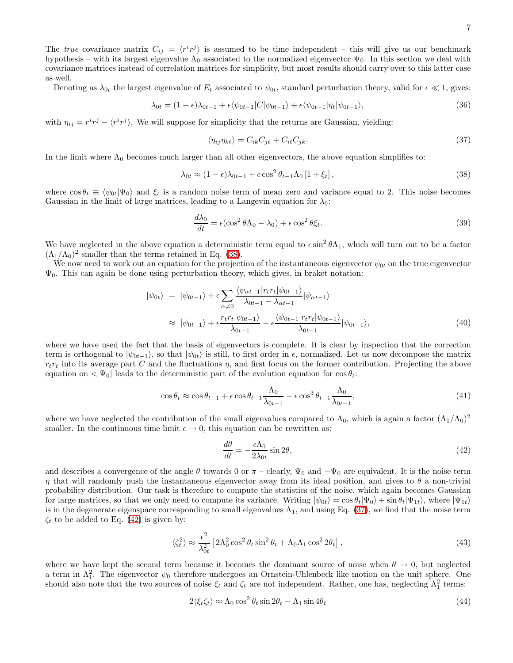The true covariance matrix  $C_{ij} = \langle r^i r^j \rangle$  is assumed to be time independent – this will give us our benchmark hypothesis – with its largest eigenvalue  $\Lambda_0$  associated to the normalized eigenvector  $\Psi_0$ . In this section we deal with covariance matrices instead of correlation matrices for simplicity, but most results should carry over to this latter case as well.

Denoting as  $\lambda_{0t}$  the largest eigenvalue of  $E_t$  associated to  $\psi_{0t}$ , standard perturbation theory, valid for  $\epsilon \ll 1$ , gives:

<span id="page-6-1"></span>
$$
\lambda_{0t} = (1 - \epsilon)\lambda_{0t-1} + \epsilon \langle \psi_{0t-1} | C | \psi_{0t-1} \rangle + \epsilon \langle \psi_{0t-1} | \eta_t | \psi_{0t-1} \rangle, \tag{36}
$$

with  $\eta_{ij} = r^i r^j - \langle r^i r^j \rangle$ . We will suppose for simplicity that the returns are Gaussian, yielding:

$$
\langle \eta_{ij}\eta_{k\ell} \rangle = C_{ik}C_{j\ell} + C_{i\ell}C_{jk}.\tag{37}
$$

In the limit where  $\Lambda_0$  becomes much larger than all other eigenvectors, the above equation simplifies to:

<span id="page-6-0"></span>
$$
\lambda_{0t} \approx (1 - \epsilon)\lambda_{0t-1} + \epsilon \cos^2 \theta_{t-1} \Lambda_0 \left[ 1 + \xi_t \right],
$$
\n(38)

where  $\cos \theta_t \equiv \langle \psi_{0t} | \Psi_0 \rangle$  and  $\xi_t$  is a random noise term of mean zero and variance equal to 2. This noise becomes Gaussian in the limit of large matrices, leading to a Langevin equation for  $\lambda_0$ :

$$
\frac{d\lambda_0}{dt} = \epsilon(\cos^2\theta \Lambda_0 - \lambda_0) + \epsilon \cos^2\theta \xi_t.
$$
\n(39)

We have neglected in the above equation a deterministic term equal to  $\epsilon \sin^2 \theta \Lambda_1$ , which will turn out to be a factor  $(\Lambda_1/\Lambda_0)^2$  smaller than the terms retained in Eq. [\(38\)](#page-6-0).

We now need to work out an equation for the projection of the instantaneous eigenvector  $\psi_{0t}$  on the true eigenvector  $\Psi_0$ . This can again be done using perturbation theory, which gives, in braket notation:

$$
|\psi_{0t}\rangle = |\psi_{0t-1}\rangle + \epsilon \sum_{\alpha \neq 0} \frac{\langle \psi_{\alpha t-1} | r_t r_t | \psi_{0t-1} \rangle}{\lambda_{0t-1} - \lambda_{\alpha t-1}} |\psi_{\alpha t-1}\rangle
$$
  

$$
\approx |\psi_{0t-1}\rangle + \epsilon \frac{r_t r_t |\psi_{0t-1}\rangle}{\lambda_{0t-1}} - \epsilon \frac{\langle \psi_{0t-1} | r_t r_t | \psi_{0t-1} \rangle}{\lambda_{0t-1}} |\psi_{0t-1}\rangle, \tag{40}
$$

where we have used the fact that the basis of eigenvectors is complete. It is clear by inspection that the correction term is orthogonal to  $|\psi_{0t-1}\rangle$ , so that  $|\psi_{0t}\rangle$  is still, to first order in  $\epsilon$ , normalized. Let us now decompose the matrix  $r_t r_t$  into its average part C and the fluctuations  $\eta$ , and first focus on the former contribution. Projecting the above equation on  $\langle \Psi_0 |$  leads to the deterministic part of the evolution equation for  $\cos \theta_t$ :

<span id="page-6-2"></span>
$$
\cos \theta_t \approx \cos \theta_{t-1} + \epsilon \cos \theta_{t-1} \frac{\Lambda_0}{\lambda_{0t-1}} - \epsilon \cos^3 \theta_{t-1} \frac{\Lambda_0}{\lambda_{0t-1}},
$$
\n(41)

where we have neglected the contribution of the small eigenvalues compared to  $\Lambda_0$ , which is again a factor  $(\Lambda_1/\Lambda_0)^2$ smaller. In the continuous time limit  $\epsilon \to 0$ , this equation can be rewritten as:

$$
\frac{d\theta}{dt} = -\frac{\epsilon \Lambda_0}{2\lambda_{0t}} \sin 2\theta,\tag{42}
$$

and describes a convergence of the angle  $\theta$  towards 0 or  $\pi$  – clearly,  $\Psi_0$  and  $-\Psi_0$  are equivalent. It is the noise term η that will randomly push the instantaneous eigenvector away from its ideal position, and gives to θ a non-trivial probability distribution. Our task is therefore to compute the statistics of the noise, which again becomes Gaussian for large matrices, so that we only need to compute its variance. Writing  $|\psi_{0t}\rangle = \cos\theta_t|\Psi_0\rangle + \sin\theta_t|\Psi_{1t}\rangle$ , where  $|\Psi_{1t}\rangle$ is in the degenerate eigenspace corresponding to small eigenvalues  $\Lambda_1$ , and using Eq. [\(37\)](#page-6-1), we find that the noise term  $\zeta_t$  to be added to Eq. [\(42\)](#page-6-2) is given by:

$$
\langle \zeta_t^2 \rangle \approx \frac{\epsilon^2}{\lambda_{0t}^2} \left[ 2\Lambda_0^2 \cos^2 \theta_t \sin^2 \theta_t + \Lambda_0 \Lambda_1 \cos^2 2\theta_t \right], \tag{43}
$$

where we have kept the second term because it becomes the dominant source of noise when  $\theta \to 0$ , but neglected a term in  $\Lambda_1^2$ . The eigenvector  $\psi_0$  therefore undergoes an Ornstein-Uhlenbeck like motion on the unit sphere. One should also note that the two sources of noise  $\xi_t$  and  $\zeta_t$  are not independent. Rather, one has, neglecting  $\Lambda_1^2$  terms:

<span id="page-6-3"></span>
$$
2\langle \xi_t \zeta_t \rangle \approx \Lambda_0 \cos^2 \theta_t \sin 2\theta_t - \Lambda_1 \sin 4\theta_t \tag{44}
$$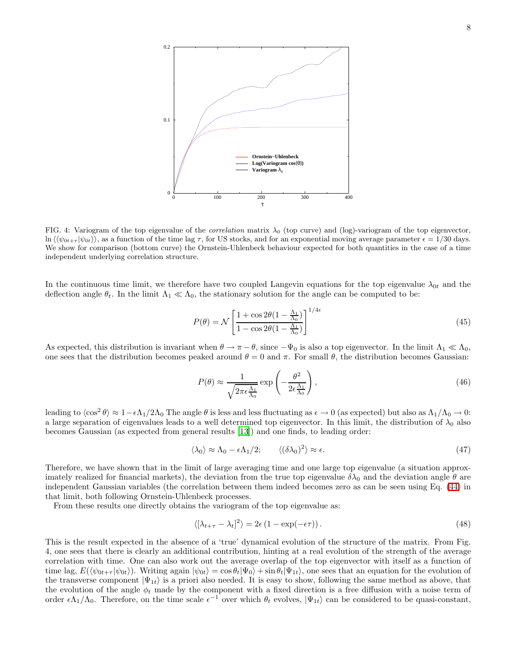

FIG. 4: Variogram of the top eigenvalue of the *correlation* matrix  $\lambda_0$  (top curve) and (log)-variogram of the top eigenvector,  $\ln \langle \langle \psi_{0t+\tau} | \psi_{0t} \rangle \rangle$ , as a function of the time lag  $\tau$ , for US stocks, and for an exponential moving average parameter  $\epsilon = 1/30$  days. We show for comparison (bottom curve) the Ornstein-Uhlenbeck behaviour expected for both quantities in the case of a time independent underlying correlation structure.

In the continuous time limit, we therefore have two coupled Langevin equations for the top eigenvalue  $\lambda_{0t}$  and the deflection angle  $\theta_t$ . In the limit  $\Lambda_1 \ll \Lambda_0$ , the stationary solution for the angle can be computed to be:

$$
P(\theta) = \mathcal{N} \left[ \frac{1 + \cos 2\theta (1 - \frac{\Lambda_1}{\Lambda_0})}{1 - \cos 2\theta (1 - \frac{\Lambda_1}{\Lambda_0})} \right]^{1/4\epsilon}
$$
(45)

As expected, this distribution is invariant when  $\theta \to \pi - \theta$ , since  $-\Psi_0$  is also a top eigenvector. In the limit  $\Lambda_1 \ll \Lambda_0$ , one sees that the distribution becomes peaked around  $\theta = 0$  and  $\pi$ . For small  $\theta$ , the distribution becomes Gaussian:

$$
P(\theta) \approx \frac{1}{\sqrt{2\pi\epsilon \frac{\Lambda_1}{\Lambda_0}}} \exp\left(-\frac{\theta^2}{2\epsilon \frac{\Lambda_1}{\Lambda_0}}\right),\tag{46}
$$

leading to  $\langle \cos^2 \theta \rangle \approx 1-\epsilon\Lambda_1/2\Lambda_0$  The angle  $\theta$  is less and less fluctuating as  $\epsilon \to 0$  (as expected) but also as  $\Lambda_1/\Lambda_0 \to 0$ : a large separation of eigenvalues leads to a well determined top eigenvector. In this limit, the distribution of  $\lambda_0$  also becomes Gaussian (as expected from general results [\[13\]](#page-10-11)) and one finds, to leading order:

$$
\langle \lambda_0 \rangle \approx \Lambda_0 - \epsilon \Lambda_1 / 2; \qquad \langle (\delta \lambda_0)^2 \rangle \approx \epsilon. \tag{47}
$$

Therefore, we have shown that in the limit of large averaging time and one large top eigenvalue (a situation approximately realized for financial markets), the deviation from the true top eigenvalue  $\delta\lambda_0$  and the deviation angle  $\theta$  are independent Gaussian variables (the correlation between them indeed becomes zero as can be seen using Eq. [\(44\)](#page-6-3) in that limit, both following Ornstein-Uhlenbeck processes.

From these results one directly obtains the variogram of the top eigenvalue as:

$$
\langle \left[\lambda_{t+\tau} - \lambda_t\right]^2 \rangle = 2\epsilon \left(1 - \exp(-\epsilon \tau)\right). \tag{48}
$$

This is the result expected in the absence of a 'true' dynamical evolution of the structure of the matrix. From Fig. 4, one sees that there is clearly an additional contribution, hinting at a real evolution of the strength of the average correlation with time. One can also work out the average overlap of the top eigenvector with itself as a function of time lag,  $E(\langle \psi_{0t+\tau} | \psi_{0t} \rangle)$ . Writing again  $|\psi_{0t}\rangle = \cos \theta_t |\Psi_0\rangle + \sin \theta_t |\Psi_{1t}\rangle$ , one sees that an equation for the evolution of the transverse component  $|\Psi_{1t}\rangle$  is a priori also needed. It is easy to show, following the same method as above, that the evolution of the angle  $\phi_t$  made by the component with a fixed direction is a free diffusion with a noise term of order  $\epsilon \Lambda_1/\Lambda_0$ . Therefore, on the time scale  $\epsilon^{-1}$  over which  $\theta_t$  evolves,  $|\Psi_{1t}\rangle$  can be considered to be quasi-constant,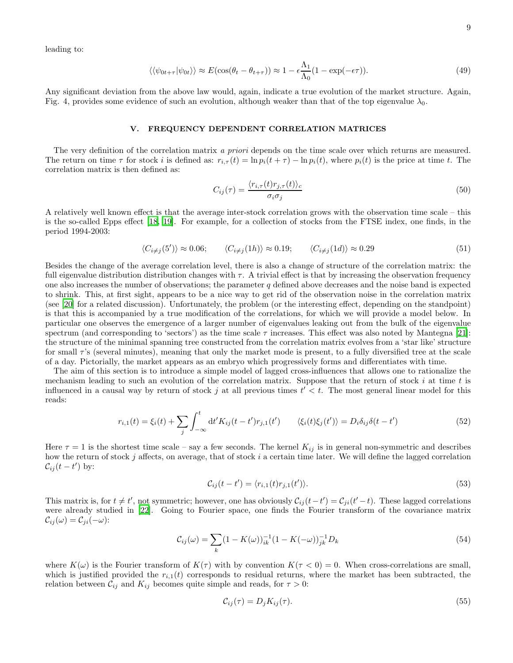leading to:

$$
\langle \langle \psi_{0t+\tau} | \psi_{0t} \rangle \rangle \approx E(\cos(\theta_t - \theta_{t+\tau})) \approx 1 - \epsilon \frac{\Lambda_1}{\Lambda_0} (1 - \exp(-\epsilon \tau)). \tag{49}
$$

Any significant deviation from the above law would, again, indicate a true evolution of the market structure. Again, Fig. 4, provides some evidence of such an evolution, although weaker than that of the top eigenvalue  $\lambda_0$ .

#### V. FREQUENCY DEPENDENT CORRELATION MATRICES

The very definition of the correlation matrix a priori depends on the time scale over which returns are measured. The return on time  $\tau$  for stock i is defined as:  $r_{i,\tau}(t) = \ln p_i(t + \tau) - \ln p_i(t)$ , where  $p_i(t)$  is the price at time t. The correlation matrix is then defined as:

$$
C_{ij}(\tau) = \frac{\langle r_{i,\tau}(t)r_{j,\tau}(t)\rangle_c}{\sigma_i \sigma_j} \tag{50}
$$

A relatively well known effect is that the average inter-stock correlation grows with the observation time scale – this is the so-called Epps effect [\[18](#page-10-17), [19\]](#page-10-18). For example, for a collection of stocks from the FTSE index, one finds, in the period 1994-2003:

$$
\langle C_{i\neq j}(5')\rangle \approx 0.06; \qquad \langle C_{i\neq j}(1h)\rangle \approx 0.19; \qquad \langle C_{i\neq j}(1d)\rangle \approx 0.29 \tag{51}
$$

Besides the change of the average correlation level, there is also a change of structure of the correlation matrix: the full eigenvalue distribution distribution changes with  $\tau$ . A trivial effect is that by increasing the observation frequency one also increases the number of observations; the parameter  $q$  defined above decreases and the noise band is expected to shrink. This, at first sight, appears to be a nice way to get rid of the observation noise in the correlation matrix (see [\[20\]](#page-10-19) for a related discussion). Unfortunately, the problem (or the interesting effect, depending on the standpoint) is that this is accompanied by a true modification of the correlations, for which we will provide a model below. In particular one observes the emergence of a larger number of eigenvalues leaking out from the bulk of the eigenvalue spectrum (and corresponding to 'sectors') as the time scale  $\tau$  increases. This effect was also noted by Mantegna [\[21\]](#page-10-20): the structure of the minimal spanning tree constructed from the correlation matrix evolves from a 'star like' structure for small  $\tau$ 's (several minutes), meaning that only the market mode is present, to a fully diversified tree at the scale of a day. Pictorially, the market appears as an embryo which progressively forms and differentiates with time.

The aim of this section is to introduce a simple model of lagged cross-influences that allows one to rationalize the mechanism leading to such an evolution of the correlation matrix. Suppose that the return of stock  $i$  at time  $t$  is influenced in a causal way by return of stock j at all previous times  $t' < t$ . The most general linear model for this reads:

$$
r_{i,1}(t) = \xi_i(t) + \sum_j \int_{-\infty}^t dt' K_{ij}(t-t') r_{j,1}(t') \qquad \langle \xi_i(t) \xi_j(t') \rangle = D_i \delta_{ij} \delta(t-t')
$$
\n(52)

Here  $\tau = 1$  is the shortest time scale – say a few seconds. The kernel  $K_{ij}$  is in general non-symmetric and describes how the return of stock j affects, on average, that of stock  $i$  a certain time later. We will define the lagged correlation  $\mathcal{C}_{ij}(t-t')$  by:

$$
\mathcal{C}_{ij}(t-t') = \langle r_{i,1}(t)r_{j,1}(t') \rangle. \tag{53}
$$

This matrix is, for  $t \neq t'$ , not symmetric; however, one has obviously  $C_{ij}(t-t') = C_{ji}(t'-t)$ . These lagged correlations were already studied in [\[22\]](#page-10-21). Going to Fourier space, one finds the Fourier transform of the covariance matrix  $\mathcal{C}_{ij}(\omega) = \mathcal{C}_{ji}(-\omega)$ :

$$
\mathcal{C}_{ij}(\omega) = \sum_{k} (1 - K(\omega))_{ik}^{-1} (1 - K(-\omega))_{jk}^{-1} D_k \tag{54}
$$

where  $K(\omega)$  is the Fourier transform of  $K(\tau)$  with by convention  $K(\tau < 0) = 0$ . When cross-correlations are small, which is justified provided the  $r_{i,1}(t)$  corresponds to residual returns, where the market has been subtracted, the relation between  $\mathcal{C}_{ij}$  and  $K_{ij}$  becomes quite simple and reads, for  $\tau > 0$ :

$$
\mathcal{C}_{ij}(\tau) = D_j K_{ij}(\tau). \tag{55}
$$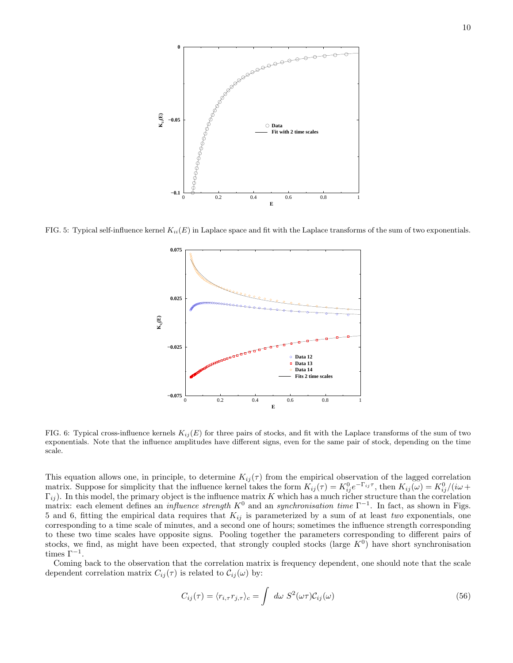

FIG. 5: Typical self-influence kernel  $K_{ii}(E)$  in Laplace space and fit with the Laplace transforms of the sum of two exponentials.



FIG. 6: Typical cross-influence kernels  $K_{ij}(E)$  for three pairs of stocks, and fit with the Laplace transforms of the sum of two exponentials. Note that the influence amplitudes have different signs, even for the same pair of stock, depending on the time scale.

This equation allows one, in principle, to determine  $K_{ij}(\tau)$  from the empirical observation of the lagged correlation matrix. Suppose for simplicity that the influence kernel takes the form  $K_{ij}(\tau) = K_{ij}^0 e^{-\Gamma_{ij}\tau}$ , then  $K_{ij}(\omega) = K_{ij}^0/(i\omega + \tau)$  $\Gamma_{ij}$ ). In this model, the primary object is the influence matrix K which has a much richer structure than the correlation matrix: each element defines an *influence strength*  $K^0$  and an *synchronisation time*  $\Gamma^{-1}$ . In fact, as shown in Figs. 5 and 6, fitting the empirical data requires that  $K_{ij}$  is parameterized by a sum of at least two exponentials, one corresponding to a time scale of minutes, and a second one of hours; sometimes the influence strength corresponding to these two time scales have opposite signs. Pooling together the parameters corresponding to different pairs of stocks, we find, as might have been expected, that strongly coupled stocks (large  $K^0$ ) have short synchronisation times  $\Gamma^{-1}$ .

Coming back to the observation that the correlation matrix is frequency dependent, one should note that the scale dependent correlation matrix  $C_{ij}(\tau)$  is related to  $\mathcal{C}_{ij}(\omega)$  by:

$$
C_{ij}(\tau) = \langle r_{i,\tau} r_{j,\tau} \rangle_c = \int d\omega \ S^2(\omega \tau) C_{ij}(\omega)
$$
\n(56)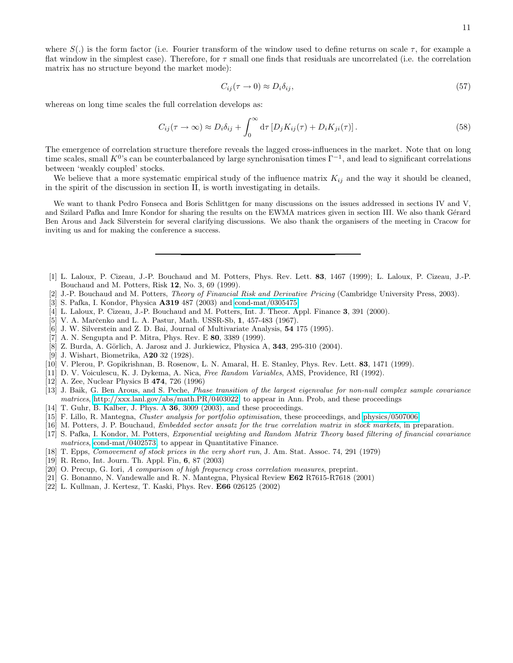where  $S(.)$  is the form factor (i.e. Fourier transform of the window used to define returns on scale  $\tau$ , for example a flat window in the simplest case). Therefore, for  $\tau$  small one finds that residuals are uncorrelated (i.e. the correlation matrix has no structure beyond the market mode):

$$
C_{ij}(\tau \to 0) \approx D_i \delta_{ij},\tag{57}
$$

whereas on long time scales the full correlation develops as:

$$
C_{ij}(\tau \to \infty) \approx D_i \delta_{ij} + \int_0^\infty d\tau \left[ D_j K_{ij}(\tau) + D_i K_{ji}(\tau) \right]. \tag{58}
$$

The emergence of correlation structure therefore reveals the lagged cross-influences in the market. Note that on long time scales, small  $K^0$ 's can be counterbalanced by large synchronisation times  $\Gamma^{-1}$ , and lead to significant correlations between 'weakly coupled' stocks.

We believe that a more systematic empirical study of the influence matrix  $K_{ij}$  and the way it should be cleaned, in the spirit of the discussion in section II, is worth investigating in details.

We want to thank Pedro Fonseca and Boris Schlittgen for many discussions on the issues addressed in sections IV and V, and Szilard Pafka and Imre Kondor for sharing the results on the EWMA matrices given in section III. We also thank Gérard Ben Arous and Jack Silverstein for several clarifying discussions. We also thank the organisers of the meeting in Cracow for inviting us and for making the conference a success.

- <span id="page-10-0"></span>[1] L. Laloux, P. Cizeau, J.-P. Bouchaud and M. Potters, Phys. Rev. Lett. 83, 1467 (1999); L. Laloux, P. Cizeau, J.-P. Bouchaud and M. Potters, Risk 12, No. 3, 69 (1999).
- <span id="page-10-1"></span>[2] J.-P. Bouchaud and M. Potters, *Theory of Financial Risk and Derivative Pricing* (Cambridge University Press, 2003).
- <span id="page-10-2"></span>[3] S. Pafka, I. Kondor, Physica A319 487 (2003) and [cond-mat/0305475](http://arxiv.org/abs/cond-mat/0305475)
- <span id="page-10-3"></span>[4] L. Laloux, P. Cizeau, J.-P. Bouchaud and M. Potters, Int. J. Theor. Appl. Finance 3, 391 (2000).
- <span id="page-10-4"></span>[5] V. A. Marčenko and L. A. Pastur, Math. USSR-Sb, 1, 457-483 (1967).
- <span id="page-10-5"></span>[6] J. W. Silverstein and Z. D. Bai, Journal of Multivariate Analysis, 54 175 (1995).
- <span id="page-10-6"></span>[7] A. N. Sengupta and P. Mitra, Phys. Rev. E 80, 3389 (1999).
- [8] Z. Burda, A. Görlich, A. Jarosz and J. Jurkiewicz, Physica A,  $343$ ,  $295-310$  (2004).
- <span id="page-10-8"></span><span id="page-10-7"></span>[9] J. Wishart, Biometrika, A20 32 (1928).
- <span id="page-10-12"></span>[10] V. Plerou, P. Gopikrishnan, B. Rosenow, L. N. Amaral, H. E. Stanley, Phys. Rev. Lett. 83, 1471 (1999).
- <span id="page-10-9"></span>[11] D. V. Voiculescu, K. J. Dykema, A. Nica, Free Random Variables, AMS, Providence, RI (1992).
- <span id="page-10-10"></span>[12] A. Zee, Nuclear Physics B 474, 726 (1996)
- <span id="page-10-11"></span>[13] J. Baik, G. Ben Arous, and S. Peche, Phase transition of the largest eigenvalue for non-null complex sample covariance matrices, [http://xxx.lanl.gov/abs/math.PR/0403022,](http://xxx.lanl.gov/abs/math.PR/0403022) to appear in Ann. Prob, and these proceedings
- <span id="page-10-13"></span>[14] T. Guhr, B. Kalber, J. Phys. A 36, 3009 (2003), and these proceedings.
- <span id="page-10-15"></span><span id="page-10-14"></span>[15] F. Lillo, R. Mantegna, Cluster analysis for portfolio optimisation, these proceedings, and [physics/0507006.](http://arxiv.org/abs/physics/0507006)
- [16] M. Potters, J. P. Bouchaud, *Embedded sector ansatz for the true correlation matrix in stock markets*, in preparation.
- <span id="page-10-16"></span>[17] S. Pafka, I. Kondor, M. Potters, Exponential weighting and Random Matrix Theory based filtering of financial covariance matrices, [cond-mat/0402573,](http://arxiv.org/abs/cond-mat/0402573) to appear in Quantitative Finance.
- <span id="page-10-17"></span>[18] T. Epps, Comovement of stock prices in the very short run, J. Am. Stat. Assoc. 74, 291 (1979)
- <span id="page-10-18"></span>[19] R. Reno, Int. Journ. Th. Appl. Fin, 6, 87 (2003)
- <span id="page-10-19"></span>[20] O. Precup, G. Iori, A comparison of high frequency cross correlation measures, preprint.
- <span id="page-10-20"></span>[21] G. Bonanno, N. Vandewalle and R. N. Mantegna, Physical Review E62 R7615-R7618 (2001)
- <span id="page-10-21"></span>[22] L. Kullman, J. Kertesz, T. Kaski, Phys. Rev. E66 026125 (2002)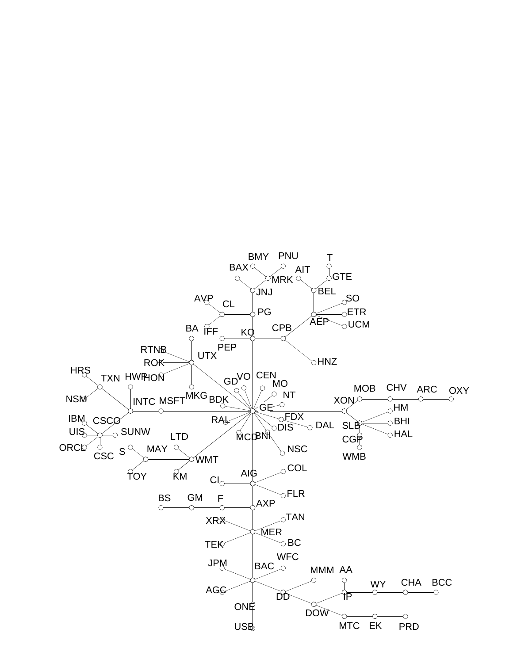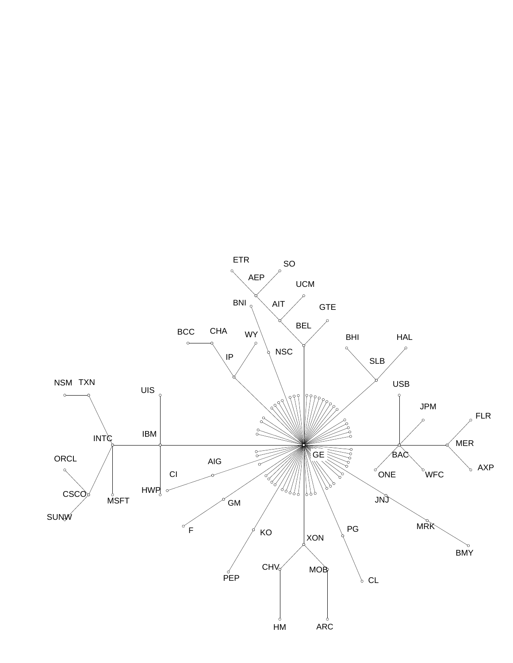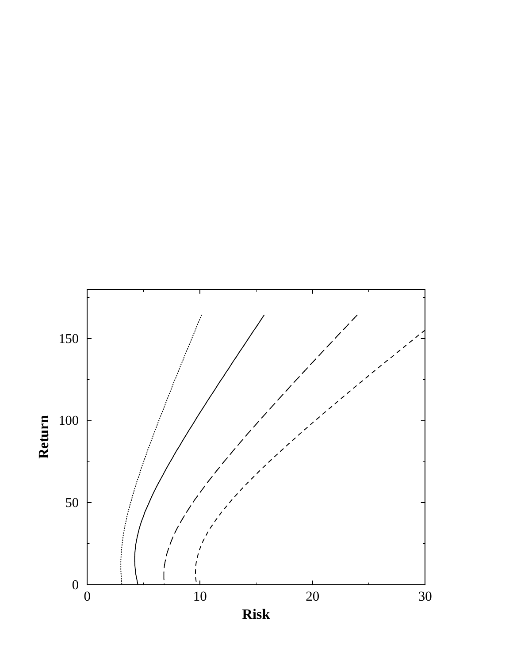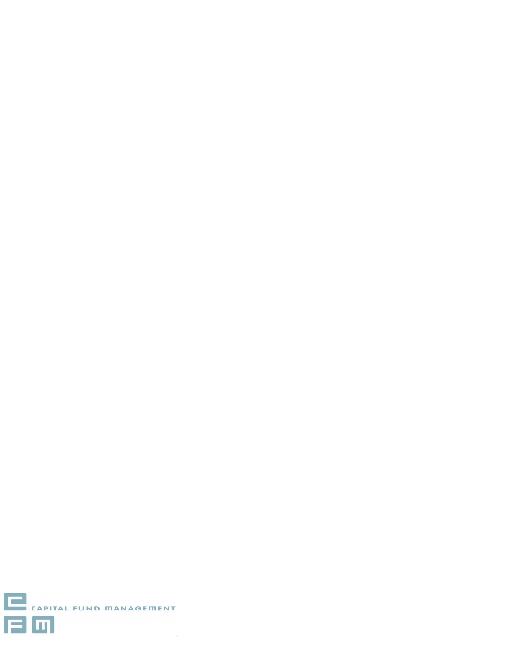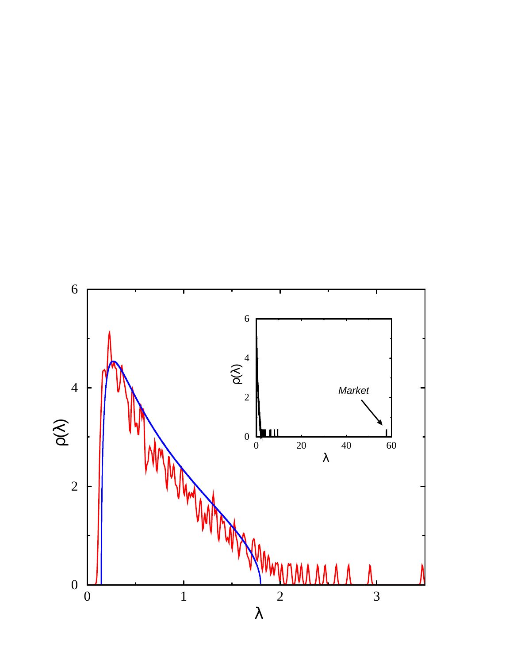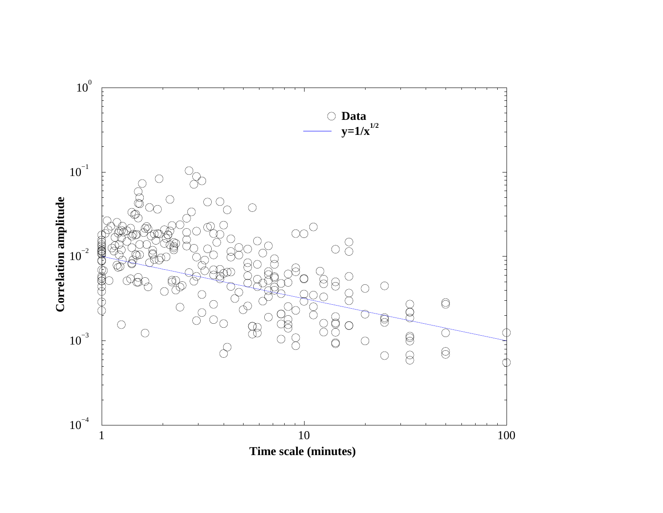